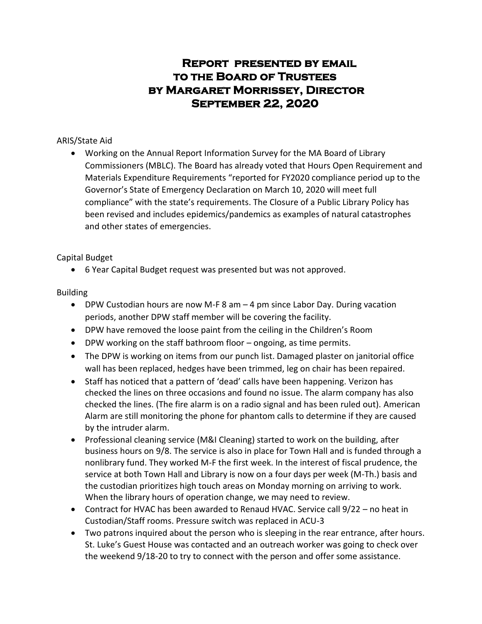# **Report presented by email to the Board of Trustees by Margaret Morrissey, Director September 22, 2020**

## ARIS/State Aid

 Working on the Annual Report Information Survey for the MA Board of Library Commissioners (MBLC). The Board has already voted that Hours Open Requirement and Materials Expenditure Requirements "reported for FY2020 compliance period up to the Governor's State of Emergency Declaration on March 10, 2020 will meet full compliance" with the state's requirements. The Closure of a Public Library Policy has been revised and includes epidemics/pandemics as examples of natural catastrophes and other states of emergencies.

# Capital Budget

6 Year Capital Budget request was presented but was not approved.

# Building

- DPW Custodian hours are now M-F 8 am  $-4$  pm since Labor Day. During vacation periods, another DPW staff member will be covering the facility.
- DPW have removed the loose paint from the ceiling in the Children's Room
- DPW working on the staff bathroom floor ongoing, as time permits.
- The DPW is working on items from our punch list. Damaged plaster on janitorial office wall has been replaced, hedges have been trimmed, leg on chair has been repaired.
- Staff has noticed that a pattern of 'dead' calls have been happening. Verizon has checked the lines on three occasions and found no issue. The alarm company has also checked the lines. (The fire alarm is on a radio signal and has been ruled out). American Alarm are still monitoring the phone for phantom calls to determine if they are caused by the intruder alarm.
- Professional cleaning service (M&I Cleaning) started to work on the building, after business hours on 9/8. The service is also in place for Town Hall and is funded through a nonlibrary fund. They worked M-F the first week. In the interest of fiscal prudence, the service at both Town Hall and Library is now on a four days per week (M-Th.) basis and the custodian prioritizes high touch areas on Monday morning on arriving to work. When the library hours of operation change, we may need to review.
- Contract for HVAC has been awarded to Renaud HVAC. Service call 9/22 no heat in Custodian/Staff rooms. Pressure switch was replaced in ACU-3
- Two patrons inquired about the person who is sleeping in the rear entrance, after hours. St. Luke's Guest House was contacted and an outreach worker was going to check over the weekend 9/18-20 to try to connect with the person and offer some assistance.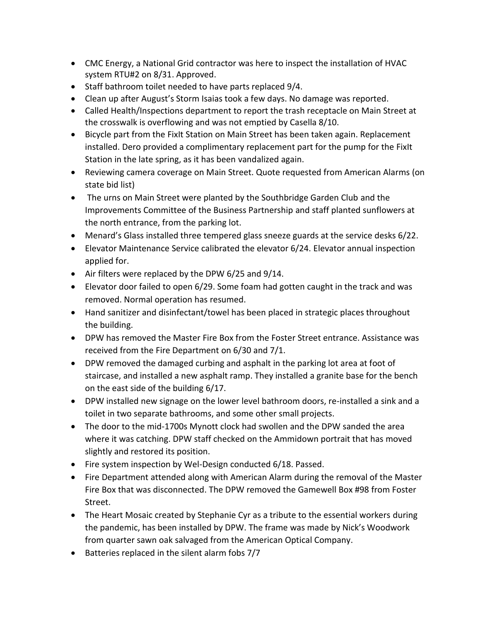- CMC Energy, a National Grid contractor was here to inspect the installation of HVAC system RTU#2 on 8/31. Approved.
- Staff bathroom toilet needed to have parts replaced 9/4.
- Clean up after August's Storm Isaias took a few days. No damage was reported.
- Called Health/Inspections department to report the trash receptacle on Main Street at the crosswalk is overflowing and was not emptied by Casella 8/10.
- Bicycle part from the FixIt Station on Main Street has been taken again. Replacement installed. Dero provided a complimentary replacement part for the pump for the FixIt Station in the late spring, as it has been vandalized again.
- Reviewing camera coverage on Main Street. Quote requested from American Alarms (on state bid list)
- The urns on Main Street were planted by the Southbridge Garden Club and the Improvements Committee of the Business Partnership and staff planted sunflowers at the north entrance, from the parking lot.
- Menard's Glass installed three tempered glass sneeze guards at the service desks 6/22.
- Elevator Maintenance Service calibrated the elevator 6/24. Elevator annual inspection applied for.
- Air filters were replaced by the DPW 6/25 and 9/14.
- Elevator door failed to open 6/29. Some foam had gotten caught in the track and was removed. Normal operation has resumed.
- Hand sanitizer and disinfectant/towel has been placed in strategic places throughout the building.
- DPW has removed the Master Fire Box from the Foster Street entrance. Assistance was received from the Fire Department on 6/30 and 7/1.
- DPW removed the damaged curbing and asphalt in the parking lot area at foot of staircase, and installed a new asphalt ramp. They installed a granite base for the bench on the east side of the building 6/17.
- DPW installed new signage on the lower level bathroom doors, re-installed a sink and a toilet in two separate bathrooms, and some other small projects.
- The door to the mid-1700s Mynott clock had swollen and the DPW sanded the area where it was catching. DPW staff checked on the Ammidown portrait that has moved slightly and restored its position.
- Fire system inspection by Wel-Design conducted 6/18. Passed.
- Fire Department attended along with American Alarm during the removal of the Master Fire Box that was disconnected. The DPW removed the Gamewell Box #98 from Foster Street.
- The Heart Mosaic created by Stephanie Cyr as a tribute to the essential workers during the pandemic, has been installed by DPW. The frame was made by Nick's Woodwork from quarter sawn oak salvaged from the American Optical Company.
- Batteries replaced in the silent alarm fobs 7/7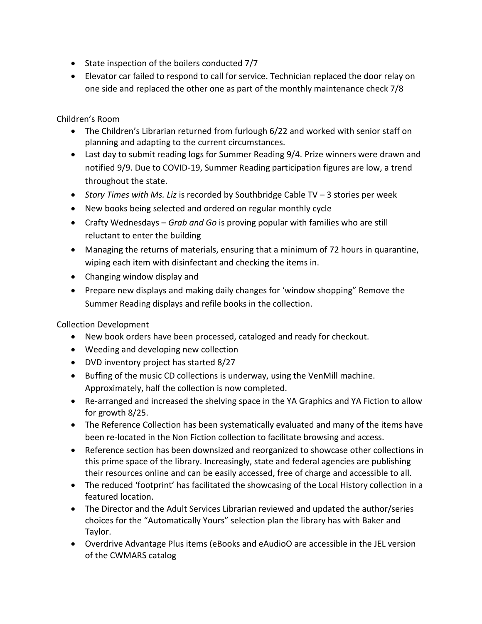- State inspection of the boilers conducted 7/7
- Elevator car failed to respond to call for service. Technician replaced the door relay on one side and replaced the other one as part of the monthly maintenance check 7/8

Children's Room

- The Children's Librarian returned from furlough 6/22 and worked with senior staff on planning and adapting to the current circumstances.
- Last day to submit reading logs for Summer Reading 9/4. Prize winners were drawn and notified 9/9. Due to COVID-19, Summer Reading participation figures are low, a trend throughout the state.
- *Story Times with Ms. Liz* is recorded by Southbridge Cable TV 3 stories per week
- New books being selected and ordered on regular monthly cycle
- Crafty Wednesdays *Grab and Go* is proving popular with families who are still reluctant to enter the building
- Managing the returns of materials, ensuring that a minimum of 72 hours in quarantine, wiping each item with disinfectant and checking the items in.
- Changing window display and
- Prepare new displays and making daily changes for 'window shopping" Remove the Summer Reading displays and refile books in the collection.

Collection Development

- New book orders have been processed, cataloged and ready for checkout.
- Weeding and developing new collection
- DVD inventory project has started 8/27
- Buffing of the music CD collections is underway, using the VenMill machine. Approximately, half the collection is now completed.
- Re-arranged and increased the shelving space in the YA Graphics and YA Fiction to allow for growth 8/25.
- The Reference Collection has been systematically evaluated and many of the items have been re-located in the Non Fiction collection to facilitate browsing and access.
- Reference section has been downsized and reorganized to showcase other collections in this prime space of the library. Increasingly, state and federal agencies are publishing their resources online and can be easily accessed, free of charge and accessible to all.
- The reduced 'footprint' has facilitated the showcasing of the Local History collection in a featured location.
- The Director and the Adult Services Librarian reviewed and updated the author/series choices for the "Automatically Yours" selection plan the library has with Baker and Taylor.
- Overdrive Advantage Plus items (eBooks and eAudioO are accessible in the JEL version of the CWMARS catalog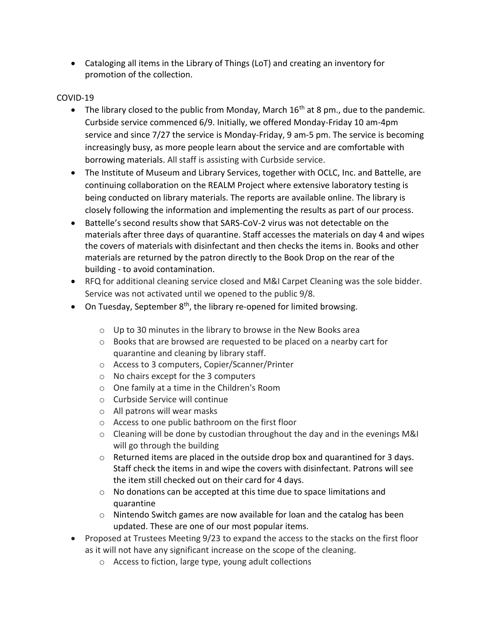Cataloging all items in the Library of Things (LoT) and creating an inventory for promotion of the collection.

## COVID-19

- The library closed to the public from Monday, March  $16<sup>th</sup>$  at 8 pm., due to the pandemic. Curbside service commenced 6/9. Initially, we offered Monday-Friday 10 am-4pm service and since 7/27 the service is Monday-Friday, 9 am-5 pm. The service is becoming increasingly busy, as more people learn about the service and are comfortable with borrowing materials. All staff is assisting with Curbside service.
- The Institute of Museum and Library Services, together with OCLC, Inc. and Battelle, are continuing collaboration on the REALM Project where extensive laboratory testing is being conducted on library materials. The reports are available online. The library is closely following the information and implementing the results as part of our process.
- Battelle's second results show that SARS-CoV-2 virus was not detectable on the materials after three days of quarantine. Staff accesses the materials on day 4 and wipes the covers of materials with disinfectant and then checks the items in. Books and other materials are returned by the patron directly to the Book Drop on the rear of the building - to avoid contamination.
- RFQ for additional cleaning service closed and M&I Carpet Cleaning was the sole bidder. Service was not activated until we opened to the public 9/8.
- On Tuesday, September  $8<sup>th</sup>$ , the library re-opened for limited browsing.
	- $\circ$  Up to 30 minutes in the library to browse in the New Books area
	- o Books that are browsed are requested to be placed on a nearby cart for quarantine and cleaning by library staff.
	- o Access to 3 computers, Copier/Scanner/Printer
	- o No chairs except for the 3 computers
	- o One family at a time in the Children's Room
	- o Curbside Service will continue
	- o All patrons will wear masks
	- o Access to one public bathroom on the first floor
	- $\circ$  Cleaning will be done by custodian throughout the day and in the evenings M&I will go through the building
	- $\circ$  Returned items are placed in the outside drop box and quarantined for 3 days. Staff check the items in and wipe the covers with disinfectant. Patrons will see the item still checked out on their card for 4 days.
	- o No donations can be accepted at this time due to space limitations and quarantine
	- $\circ$  Nintendo Switch games are now available for loan and the catalog has been updated. These are one of our most popular items.
- Proposed at Trustees Meeting 9/23 to expand the access to the stacks on the first floor as it will not have any significant increase on the scope of the cleaning.
	- o Access to fiction, large type, young adult collections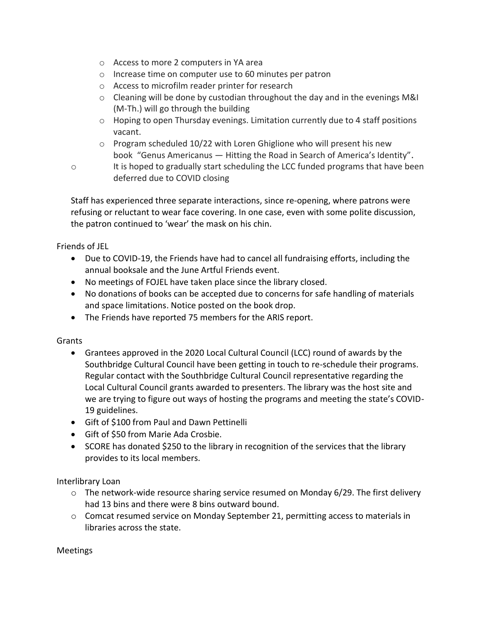- o Access to more 2 computers in YA area
- o Increase time on computer use to 60 minutes per patron
- o Access to microfilm reader printer for research
- $\circ$  Cleaning will be done by custodian throughout the day and in the evenings M&I (M-Th.) will go through the building
- $\circ$  Hoping to open Thursday evenings. Limitation currently due to 4 staff positions vacant.
- o Program scheduled 10/22 with Loren Ghiglione who will present his new book "Genus Americanus — Hitting the Road in Search of America's Identity".
- 
- o It is hoped to gradually start scheduling the LCC funded programs that have been deferred due to COVID closing

Staff has experienced three separate interactions, since re-opening, where patrons were refusing or reluctant to wear face covering. In one case, even with some polite discussion, the patron continued to 'wear' the mask on his chin.

Friends of JEL

- Due to COVID-19, the Friends have had to cancel all fundraising efforts, including the annual booksale and the June Artful Friends event.
- No meetings of FOJEL have taken place since the library closed.
- No donations of books can be accepted due to concerns for safe handling of materials and space limitations. Notice posted on the book drop.
- The Friends have reported 75 members for the ARIS report.

Grants

- Grantees approved in the 2020 Local Cultural Council (LCC) round of awards by the Southbridge Cultural Council have been getting in touch to re-schedule their programs. Regular contact with the Southbridge Cultural Council representative regarding the Local Cultural Council grants awarded to presenters. The library was the host site and we are trying to figure out ways of hosting the programs and meeting the state's COVID-19 guidelines.
- Gift of \$100 from Paul and Dawn Pettinelli
- Gift of \$50 from Marie Ada Crosbie.
- SCORE has donated \$250 to the library in recognition of the services that the library provides to its local members.

Interlibrary Loan

- $\circ$  The network-wide resource sharing service resumed on Monday 6/29. The first delivery had 13 bins and there were 8 bins outward bound.
- o Comcat resumed service on Monday September 21, permitting access to materials in libraries across the state.

Meetings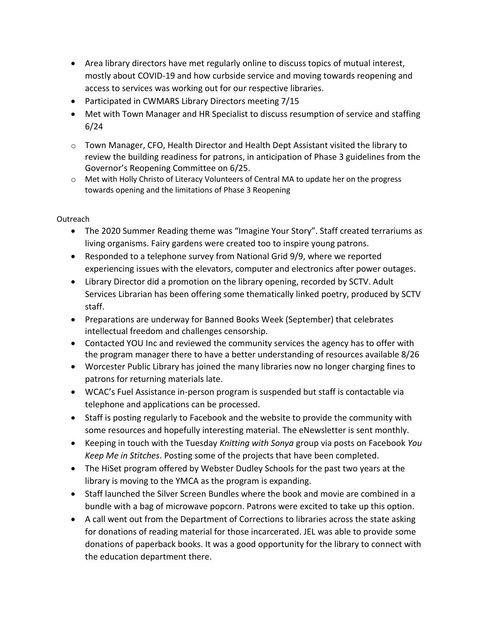- Area library directors have met regularly online to discuss topics of mutual interest, mostly about COVID-19 and how curbside service and moving towards reopening and access to services was working out for our respective libraries.
- Participated in CWMARS Library Directors meeting 7/15
- Met with Town Manager and HR Specialist to discuss resumption of service and staffing 6/24
- $\circ$  Town Manager, CFO, Health Director and Health Dept Assistant visited the library to review the building readiness for patrons, in anticipation of Phase 3 guidelines from the Governor's Reopening Committee on 6/25.
- o Met with Holly Christo of Literacy Volunteers of Central MA to update her on the progress towards opening and the limitations of Phase 3 Reopening

Outreach

- The 2020 Summer Reading theme was "Imagine Your Story". Staff created terrariums as living organisms. Fairy gardens were created too to inspire young patrons.
- Responded to a telephone survey from National Grid 9/9, where we reported experiencing issues with the elevators, computer and electronics after power outages.
- Library Director did a promotion on the library opening, recorded by SCTV. Adult Services Librarian has been offering some thematically linked poetry, produced by SCTV staff.
- Preparations are underway for Banned Books Week (September) that celebrates intellectual freedom and challenges censorship.
- Contacted YOU Inc and reviewed the community services the agency has to offer with the program manager there to have a better understanding of resources available 8/26
- Worcester Public Library has joined the many libraries now no longer charging fines to patrons for returning materials late.
- WCAC's Fuel Assistance in-person program is suspended but staff is contactable via telephone and applications can be processed.
- Staff is posting regularly to Facebook and the website to provide the community with some resources and hopefully interesting material. The eNewsletter is sent monthly.
- Keeping in touch with the Tuesday *Knitting with Sonya* group via posts on Facebook *You Keep Me in Stitches*. Posting some of the projects that have been completed.
- The HiSet program offered by Webster Dudley Schools for the past two years at the library is moving to the YMCA as the program is expanding.
- Staff launched the Silver Screen Bundles where the book and movie are combined in a bundle with a bag of microwave popcorn. Patrons were excited to take up this option.
- A call went out from the Department of Corrections to libraries across the state asking for donations of reading material for those incarcerated. JEL was able to provide some donations of paperback books. It was a good opportunity for the library to connect with the education department there.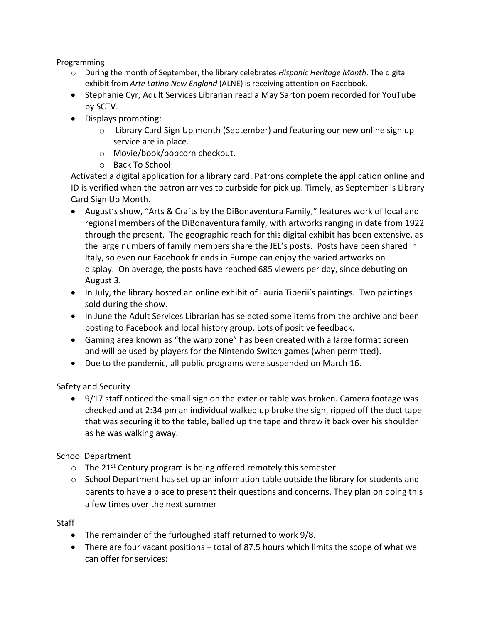Programming

- o During the month of September, the library celebrates *Hispanic Heritage Month*. The digital exhibit from *Arte Latino New England* (ALNE) is receiving attention on Facebook.
- Stephanie Cyr, Adult Services Librarian read a May Sarton poem recorded for YouTube by SCTV.
- Displays promoting:
	- o Library Card Sign Up month (September) and featuring our new online sign up service are in place.
	- o Movie/book/popcorn checkout.
	- o Back To School

Activated a digital application for a library card. Patrons complete the application online and ID is verified when the patron arrives to curbside for pick up. Timely, as September is Library Card Sign Up Month.

- August's show, "[Arts & Crafts by the DiBonaventura Family,](https://www.jacobedwardslibrary.org/displays.htm)" features work of local and regional members of the DiBonaventura family, with artworks ranging in date from 1922 through the present. The geographic reach for this digital exhibit has been extensive, as the large numbers of family members share the JEL's posts. Posts have been shared in Italy, so even our Facebook friends in Europe can enjoy the varied artworks on display. On average, the posts have reached 685 viewers per day, since debuting on August 3.
- In July, the library hosted an online exhibit of Lauria Tiberii's paintings. Two paintings sold during the show.
- In June the Adult Services Librarian has selected some items from the archive and been posting to Facebook and local history group. Lots of positive feedback.
- Gaming area known as "the warp zone" has been created with a large format screen and will be used by players for the Nintendo Switch games (when permitted).
- Due to the pandemic, all public programs were suspended on March 16.

Safety and Security

• 9/17 staff noticed the small sign on the exterior table was broken. Camera footage was checked and at 2:34 pm an individual walked up broke the sign, ripped off the duct tape that was securing it to the table, balled up the tape and threw it back over his shoulder as he was walking away.

School Department

- $\circ$  The 21<sup>st</sup> Century program is being offered remotely this semester.
- $\circ$  School Department has set up an information table outside the library for students and parents to have a place to present their questions and concerns. They plan on doing this a few times over the next summer

Staff

- The remainder of the furloughed staff returned to work 9/8.
- There are four vacant positions total of 87.5 hours which limits the scope of what we can offer for services: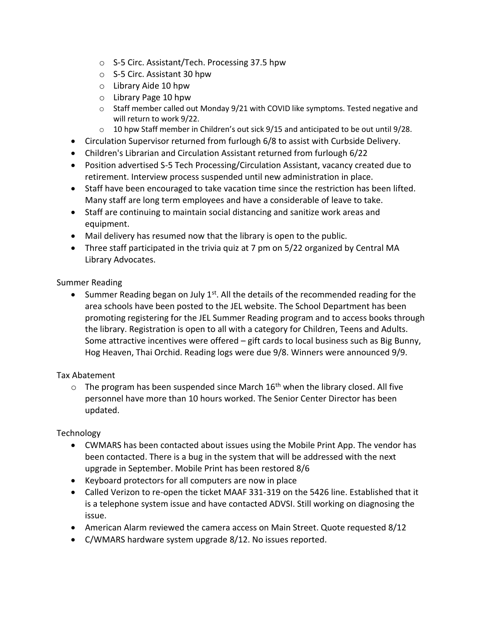- o S-5 Circ. Assistant/Tech. Processing 37.5 hpw
- o S-5 Circ. Assistant 30 hpw
- o Library Aide 10 hpw
- o Library Page 10 hpw
- o Staff member called out Monday 9/21 with COVID like symptoms. Tested negative and will return to work 9/22.
- o 10 hpw Staff member in Children's out sick 9/15 and anticipated to be out until 9/28.
- Circulation Supervisor returned from furlough 6/8 to assist with Curbside Delivery.
- Children's Librarian and Circulation Assistant returned from furlough 6/22
- Position advertised S-5 Tech Processing/Circulation Assistant, vacancy created due to retirement. Interview process suspended until new administration in place.
- Staff have been encouraged to take vacation time since the restriction has been lifted. Many staff are long term employees and have a considerable of leave to take.
- Staff are continuing to maintain social distancing and sanitize work areas and equipment.
- Mail delivery has resumed now that the library is open to the public.
- Three staff participated in the trivia quiz at 7 pm on 5/22 organized by Central MA Library Advocates.

Summer Reading

Summer Reading began on July  $1<sup>st</sup>$ . All the details of the recommended reading for the area schools have been posted to the JEL website. The School Department has been promoting registering for the JEL Summer Reading program and to access books through the library. Registration is open to all with a category for Children, Teens and Adults. Some attractive incentives were offered – gift cards to local business such as Big Bunny, Hog Heaven, Thai Orchid. Reading logs were due 9/8. Winners were announced 9/9.

## Tax Abatement

 $\circ$  The program has been suspended since March 16<sup>th</sup> when the library closed. All five personnel have more than 10 hours worked. The Senior Center Director has been updated.

Technology

- CWMARS has been contacted about issues using the Mobile Print App. The vendor has been contacted. There is a bug in the system that will be addressed with the next upgrade in September. Mobile Print has been restored 8/6
- Keyboard protectors for all computers are now in place
- Called Verizon to re-open the ticket MAAF 331-319 on the 5426 line. Established that it is a telephone system issue and have contacted ADVSI. Still working on diagnosing the issue.
- American Alarm reviewed the camera access on Main Street. Quote requested 8/12
- C/WMARS hardware system upgrade 8/12. No issues reported.